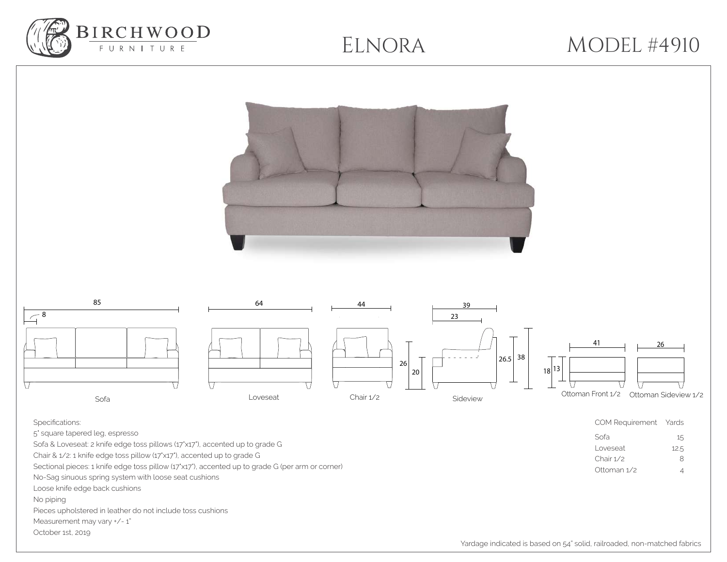

## ELNORA MODEL #4910

| 85<br>64<br>44<br>39<br>$\sqrt{8}$<br>23<br> 26.5 38<br>26<br>$20\,$<br>\ /<br>۱<br>Chair 1/2<br>Loveseat<br>Sideview<br>Sofa                                                                                                                                                                                                                                                                                                                                                                                                              | 41<br>26<br>18 13 <br>Ottoman Front 1/2 Ottoman Sideview 1/2                                                     |
|--------------------------------------------------------------------------------------------------------------------------------------------------------------------------------------------------------------------------------------------------------------------------------------------------------------------------------------------------------------------------------------------------------------------------------------------------------------------------------------------------------------------------------------------|------------------------------------------------------------------------------------------------------------------|
| Specifications:<br>5' square tapered leg, espresso<br>Sofa & Loveseat: 2 knife edge toss pillows (17'x17'), accented up to grade G<br>Chair & 1/2: 1 knife edge toss pillow (17'x17'), accented up to grade G<br>Sectional pieces: 1 knife edge toss pillow (17'x17'), accented up to grade G (per arm or corner)<br>No-Sag sinuous spring system with loose seat cushions<br>Loose knife edge back cushions<br>No piping<br>Pieces upholstered in leather do not include toss cushions<br>Measurement may vary +/-1"<br>October 1st, 2019 | COM Requirement Yards<br>Sofa<br>15<br>Loveseat<br>12.5<br>Chair 1/2<br>$\,8\,$<br>Ottoman 1/2<br>$\overline{4}$ |

Yardage indicated is based on 54" solid, railroaded, non-matched fabrics